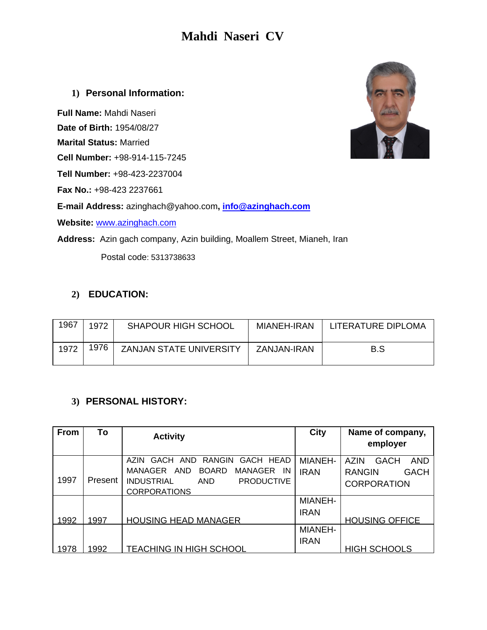# **Mahdi Naseri CV**

#### **1) Personal Information:**

**Full Name:** Mahdi Naseri

**Date of Birth:** 1954/08/27

**Marital Status:** Married

**Cell Number:** +98-914-115-7245

**Tell Number:** +98-423-2237004

**Fax No.:** +98-423 2237661

**E-mail Address:** azinghach@yahoo.com**, info@azinghach.com**

**Website:** www.azinghach.com

**Address:** Azin gach company, Azin building, Moallem Street, Mianeh, Iran

Postal code: 5313738633

## **2) EDUCATION:**

| 1967 | 1972 | <b>SHAPOUR HIGH SCHOOL</b>     | MIANEH-IRAN | LITERATURE DIPLOMA |
|------|------|--------------------------------|-------------|--------------------|
| 1972 | 1976 | <b>ZANJAN STATE UNIVERSITY</b> | ZANJAN-IRAN | B.S                |

### **3) PERSONAL HISTORY:**

| From | To      | <b>Activity</b>                                        | <b>City</b>    | Name of company,                  |
|------|---------|--------------------------------------------------------|----------------|-----------------------------------|
|      |         |                                                        |                | employer                          |
|      |         | GACH AND RANGIN<br>GACH HEAD<br>AZIN.                  | <b>MIANEH-</b> | A7IN<br><b>AND</b><br><b>GACH</b> |
|      |         | MANAGER<br>AND<br><b>BOARD</b><br><b>MANAGER</b><br>IN | <b>IRAN</b>    | <b>GACH</b><br><b>RANGIN</b>      |
| 1997 | Present | <b>INDUSTRIAL</b><br><b>PRODUCTIVE</b><br>AND          |                | <b>CORPORATION</b>                |
|      |         | <b>CORPORATIONS</b>                                    |                |                                   |
|      |         |                                                        | <b>MIANEH-</b> |                                   |
|      |         |                                                        | <b>IRAN</b>    |                                   |
| 1992 | 1997    | <b>HOUSING HEAD MANAGER</b>                            |                | <b>HOUSING OFFICE</b>             |
|      |         |                                                        | <b>MIANEH-</b> |                                   |
|      |         |                                                        | <b>IRAN</b>    |                                   |
| 1978 | 1992    | TEACHING IN HIGH SCHOOL                                |                | <b>HIGH SCHOOLS</b>               |

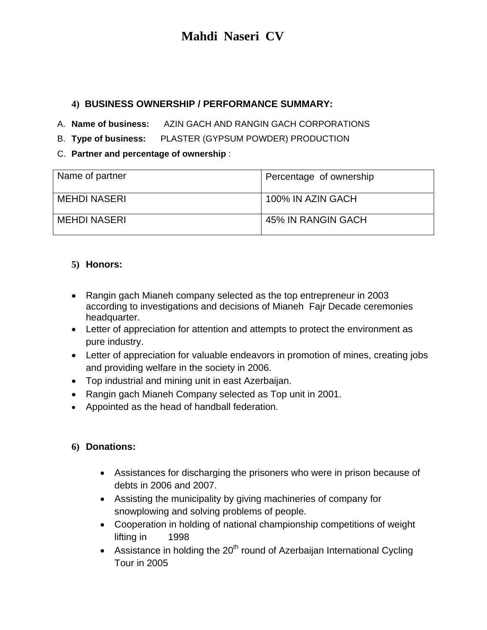# **Mahdi Naseri CV**

### **4) BUSINESS OWNERSHIP / PERFORMANCE SUMMARY:**

A. **Name of business:** AZIN GACH AND RANGIN GACH CORPORATIONS

B. **Type of business:** PLASTER (GYPSUM POWDER) PRODUCTION

C. **Partner and percentage of ownership** :

| Name of partner     | Percentage of ownership |
|---------------------|-------------------------|
| <b>MEHDI NASERI</b> | 100% IN AZIN GACH       |
| <b>MEHDI NASERI</b> | 45% IN RANGIN GACH      |

#### **5) Honors:**

- Rangin gach Mianeh company selected as the top entrepreneur in 2003 according to investigations and decisions of Mianeh Fajr Decade ceremonies headquarter.
- Letter of appreciation for attention and attempts to protect the environment as pure industry.
- Letter of appreciation for valuable endeavors in promotion of mines, creating jobs and providing welfare in the society in 2006.
- Top industrial and mining unit in east Azerbaijan.
- Rangin gach Mianeh Company selected as Top unit in 2001.
- Appointed as the head of handball federation.

### **6) Donations:**

- Assistances for discharging the prisoners who were in prison because of debts in 2006 and 2007.
- Assisting the municipality by giving machineries of company for snowplowing and solving problems of people.
- Cooperation in holding of national championship competitions of weight lifting in 1998
- Assistance in holding the  $20<sup>th</sup>$  round of Azerbaijan International Cycling Tour in 2005